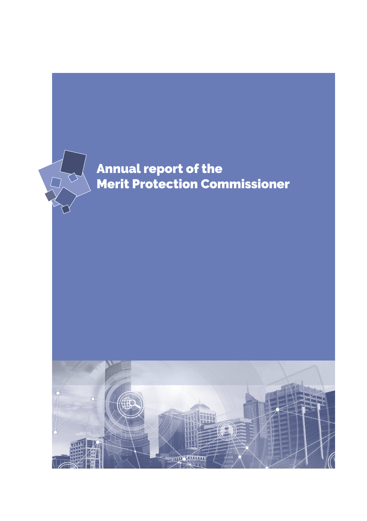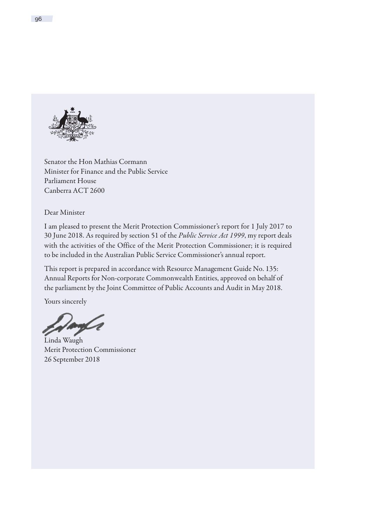

Senator the Hon Mathias Cormann Minister for Finance and the Public Service Parliament House Canberra ACT 2600

Dear Minister

I am pleased to present the Merit Protection Commissioner's report for 1 July 2017 to 30 June 2018. As required by section 51 of the *Public Service Act 1999*, my report deals with the activities of the Office of the Merit Protection Commissioner; it is required to be included in the Australian Public Service Commissioner's annual report.

This report is prepared in accordance with Resource Management Guide No. 135: Annual Reports for Non-corporate Commonwealth Entities, approved on behalf of the parliament by the Joint Committee of Public Accounts and Audit in May 2018.

Yours sincerely

Linda Waugh Merit Protection Commissioner 26 September 2018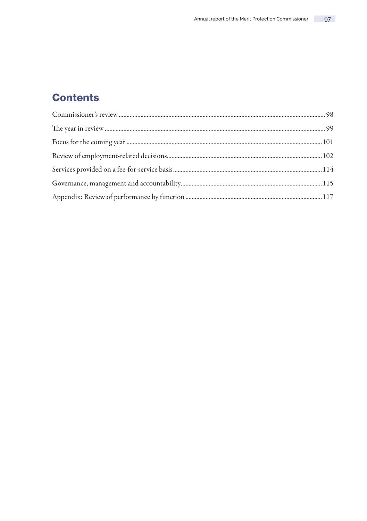# **Contents**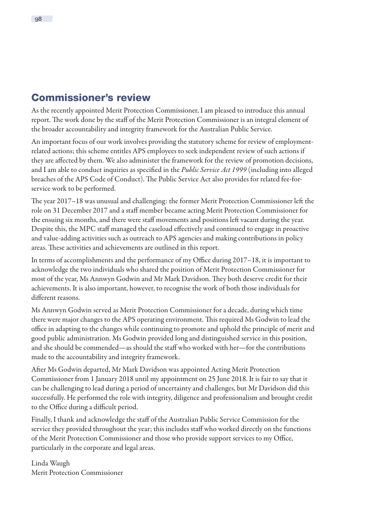# <span id="page-3-0"></span>Commissioner's review

As the recently appointed Merit Protection Commissioner, I am pleased to introduce this annual report. The work done by the staff of the Merit Protection Commissioner is an integral element of the broader accountability and integrity framework for the Australian Public Service.

An important focus of our work involves providing the statutory scheme for review of employmentrelated actions; this scheme entitles APS employees to seek independent review of such actions if they are affected by them. We also administer the framework for the review of promotion decisions, and I am able to conduct inquiries as specified in the *Public Service Act 1999* (including into alleged breaches of the APS Code of Conduct). The Public Service Act also provides for related fee-forservice work to be performed.

The year 2017–18 was unusual and challenging: the former Merit Protection Commissioner left the role on 31 December 2017 and a staff member became acting Merit Protection Commissioner for the ensuing six months, and there were staff movements and positions left vacant during the year. Despite this, the MPC staff managed the caseload effectively and continued to engage in proactive and value-adding activities such as outreach to APS agencies and making contributions in policy areas. These activities and achievements are outlined in this report.

In terms of accomplishments and the performance of my Office during 2017–18, it is important to acknowledge the two individuals who shared the position of Merit Protection Commissioner for most of the year, Ms Annwyn Godwin and Mr Mark Davidson. They both deserve credit for their achievements. It is also important, however, to recognise the work of both those individuals for different reasons.

Ms Annwyn Godwin served as Merit Protection Commissioner for a decade, during which time there were major changes to the APS operating environment. This required Ms Godwin to lead the office in adapting to the changes while continuing to promote and uphold the principle of merit and good public administration. Ms Godwin provided long and distinguished service in this position, and she should be commended—as should the staff who worked with her—for the contributions made to the accountability and integrity framework.

After Ms Godwin departed, Mr Mark Davidson was appointed Acting Merit Protection Commissioner from 1 January 2018 until my appointment on 25 June 2018. It is fair to say that it can be challenging to lead during a period of uncertainty and challenges, but Mr Davidson did this successfully. He performed the role with integrity, diligence and professionalism and brought credit to the Office during a difficult period.

Finally, I thank and acknowledge the staff of the Australian Public Service Commission for the service they provided throughout the year; this includes staff who worked directly on the functions of the Merit Protection Commissioner and those who provide support services to my Office, particularly in the corporate and legal areas.

Linda Waugh Merit Protection Commissioner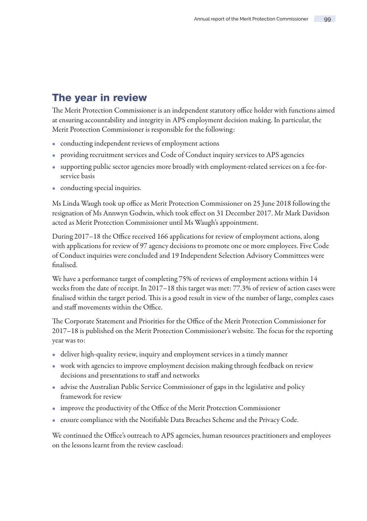# <span id="page-4-0"></span>The year in review

The Merit Protection Commissioner is an independent statutory office holder with functions aimed at ensuring accountability and integrity in APS employment decision making. In particular, the Merit Protection Commissioner is responsible for the following:

- conducting independent reviews of employment actions
- providing recruitment services and Code of Conduct inquiry services to APS agencies
- supporting public sector agencies more broadly with employment-related services on a fee-forservice basis
- conducting special inquiries.

Ms Linda Waugh took up office as Merit Protection Commissioner on 25 June 2018 following the resignation of Ms Annwyn Godwin, which took effect on 31 December 2017. Mr Mark Davidson acted as Merit Protection Commissioner until Ms Waugh's appointment.

During 2017–18 the Office received 166 applications for review of employment actions, along with applications for review of 97 agency decisions to promote one or more employees. Five Code of Conduct inquiries were concluded and 19 Independent Selection Advisory Committees were finalised.

We have a performance target of completing 75% of reviews of employment actions within 14 weeks from the date of receipt. In 2017–18 this target was met: 77.3% of review of action cases were finalised within the target period. This is a good result in view of the number of large, complex cases and staff movements within the Office.

The Corporate Statement and Priorities for the Office of the Merit Protection Commissioner for 2017–18 is published on the Merit Protection Commissioner's website. The focus for the reporting year was to:

- deliver high-quality review, inquiry and employment services in a timely manner
- work with agencies to improve employment decision making through feedback on review decisions and presentations to staff and networks
- advise the Australian Public Service Commissioner of gaps in the legislative and policy framework for review
- improve the productivity of the Office of the Merit Protection Commissioner
- ensure compliance with the Notifiable Data Breaches Scheme and the Privacy Code.

We continued the Office's outreach to APS agencies, human resources practitioners and employees on the lessons learnt from the review caseload: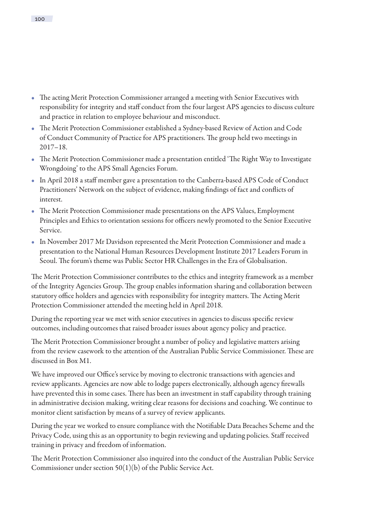- The acting Merit Protection Commissioner arranged a meeting with Senior Executives with responsibility for integrity and staff conduct from the four largest APS agencies to discuss culture and practice in relation to employee behaviour and misconduct.
- The Merit Protection Commissioner established a Sydney-based Review of Action and Code of Conduct Community of Practice for APS practitioners. The group held two meetings in 2017–18.
- The Merit Protection Commissioner made a presentation entitled 'The Right Way to Investigate Wrongdoing' to the APS Small Agencies Forum.
- In April 2018 a staff member gave a presentation to the Canberra-based APS Code of Conduct Practitioners' Network on the subject of evidence, making findings of fact and conflicts of interest.
- The Merit Protection Commissioner made presentations on the APS Values, Employment Principles and Ethics to orientation sessions for officers newly promoted to the Senior Executive Service.
- In November 2017 Mr Davidson represented the Merit Protection Commissioner and made a presentation to the National Human Resources Development Institute 2017 Leaders Forum in Seoul. The forum's theme was Public Sector HR Challenges in the Era of Globalisation.

The Merit Protection Commissioner contributes to the ethics and integrity framework as a member of the Integrity Agencies Group. The group enables information sharing and collaboration between statutory office holders and agencies with responsibility for integrity matters. The Acting Merit Protection Commissioner attended the meeting held in April 2018.

During the reporting year we met with senior executives in agencies to discuss specific review outcomes, including outcomes that raised broader issues about agency policy and practice.

The Merit Protection Commissioner brought a number of policy and legislative matters arising from the review casework to the attention of the Australian Public Service Commissioner. These are discussed in Box M1.

We have improved our Office's service by moving to electronic transactions with agencies and review applicants. Agencies are now able to lodge papers electronically, although agency firewalls have prevented this in some cases. There has been an investment in staff capability through training in administrative decision making, writing clear reasons for decisions and coaching. We continue to monitor client satisfaction by means of a survey of review applicants.

During the year we worked to ensure compliance with the Notifiable Data Breaches Scheme and the Privacy Code, using this as an opportunity to begin reviewing and updating policies. Staff received training in privacy and freedom of information.

The Merit Protection Commissioner also inquired into the conduct of the Australian Public Service Commissioner under section 50(1)(b) of the Public Service Act.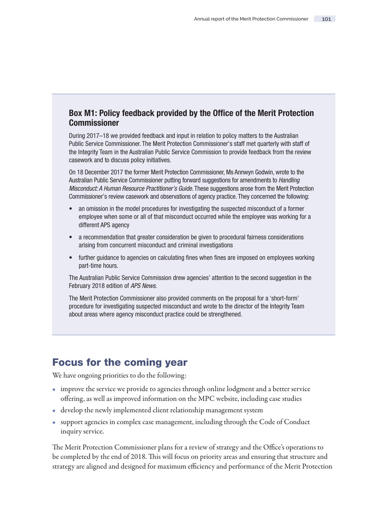## <span id="page-6-0"></span>Box M1: Policy feedback provided by the Office of the Merit Protection Commissioner

During 2017–18 we provided feedback and input in relation to policy matters to the Australian Public Service Commissioner. The Merit Protection Commissioner's staff met quarterly with staff of the Integrity Team in the Australian Public Service Commission to provide feedback from the review casework and to discuss policy initiatives.

On 18 December 2017 the former Merit Protection Commissioner, Ms Annwyn Godwin, wrote to the Australian Public Service Commissioner putting forward suggestions for amendments to Handling Misconduct: A Human Resource Practitioner's Guide. These suggestions arose from the Merit Protection Commissioner's review casework and observations of agency practice. They concerned the following:

- an omission in the model procedures for investigating the suspected misconduct of a former employee when some or all of that misconduct occurred while the employee was working for a different APS agency
- a recommendation that greater consideration be given to procedural fairness considerations arising from concurrent misconduct and criminal investigations
- further guidance to agencies on calculating fines when fines are imposed on employees working part-time hours.

The Australian Public Service Commission drew agencies' attention to the second suggestion in the February 2018 edition of APS News.

The Merit Protection Commissioner also provided comments on the proposal for a 'short-form' procedure for investigating suspected misconduct and wrote to the director of the Integrity Team about areas where agency misconduct practice could be strengthened.

# Focus for the coming year

We have ongoing priorities to do the following:

- improve the service we provide to agencies through online lodgment and a better service offering, as well as improved information on the MPC website, including case studies
- develop the newly implemented client relationship management system
- support agencies in complex case management, including through the Code of Conduct inquiry service.

The Merit Protection Commissioner plans for a review of strategy and the Office's operations to be completed by the end of 2018. This will focus on priority areas and ensuring that structure and strategy are aligned and designed for maximum efficiency and performance of the Merit Protection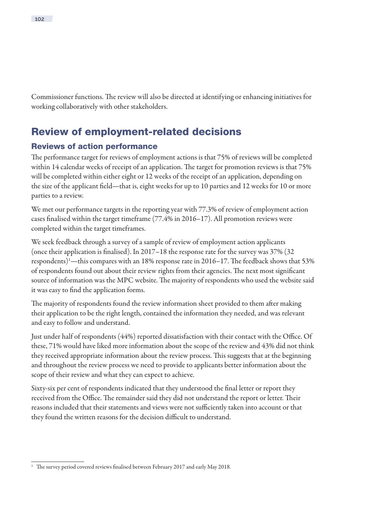<span id="page-7-0"></span>Commissioner functions. The review will also be directed at identifying or enhancing initiatives for working collaboratively with other stakeholders.

# Review of employment-related decisions

## Reviews of action performance

The performance target for reviews of employment actions is that 75% of reviews will be completed within 14 calendar weeks of receipt of an application. The target for promotion reviews is that 75% will be completed within either eight or 12 weeks of the receipt of an application, depending on the size of the applicant field—that is, eight weeks for up to 10 parties and 12 weeks for 10 or more parties to a review.

We met our performance targets in the reporting year with 77.3% of review of employment action cases finalised within the target timeframe (77.4% in 2016–17). All promotion reviews were completed within the target timeframes.

We seek feedback through a survey of a sample of review of employment action applicants (once their application is finalised). In 2017–18 the response rate for the survey was 37% (32 respondents)1 —this compares with an 18% response rate in 2016–17. The feedback shows that 53% of respondents found out about their review rights from their agencies. The next most significant source of information was the MPC website. The majority of respondents who used the website said it was easy to find the application forms.

The majority of respondents found the review information sheet provided to them after making their application to be the right length, contained the information they needed, and was relevant and easy to follow and understand.

Just under half of respondents (44%) reported dissatisfaction with their contact with the Office. Of these, 71% would have liked more information about the scope of the review and 43% did not think they received appropriate information about the review process. This suggests that at the beginning and throughout the review process we need to provide to applicants better information about the scope of their review and what they can expect to achieve.

Sixty-six per cent of respondents indicated that they understood the final letter or report they received from the Office. The remainder said they did not understand the report or letter. Their reasons included that their statements and views were not sufficiently taken into account or that they found the written reasons for the decision difficult to understand.

<sup>&</sup>lt;sup>1</sup> The survey period covered reviews finalised between February 2017 and early May 2018.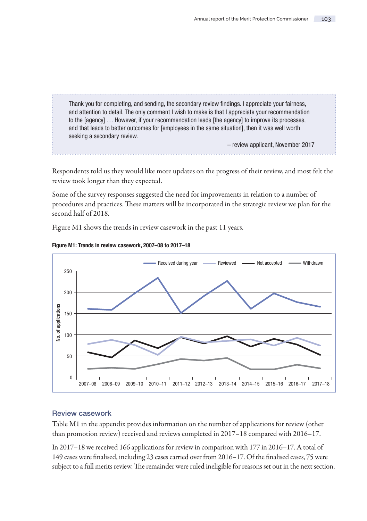Thank you for completing, and sending, the secondary review findings. I appreciate your fairness, and attention to detail. The only comment I wish to make is that I appreciate your recommendation to the [agency] … However, if your recommendation leads [the agency] to improve its processes, and that leads to better outcomes for [employees in the same situation], then it was well worth seeking a secondary review.

– review applicant, November 2017

Respondents told us they would like more updates on the progress of their review, and most felt the review took longer than they expected.

Some of the survey responses suggested the need for improvements in relation to a number of procedures and practices. These matters will be incorporated in the strategic review we plan for the second half of 2018.

Figure M1 shows the trends in review casework in the past 11 years.



Figure M1: Trends in review casework, 2007–08 to 2017–18

### Review casework

Table M1 in the appendix provides information on the number of applications for review (other than promotion review) received and reviews completed in 2017–18 compared with 2016–17.

In 2017–18 we received 166 applications for review in comparison with 177 in 2016–17. A total of 149 cases were finalised, including 23 cases carried over from 2016–17. Of the finalised cases, 75 were subject to a full merits review. The remainder were ruled ineligible for reasons set out in the next section.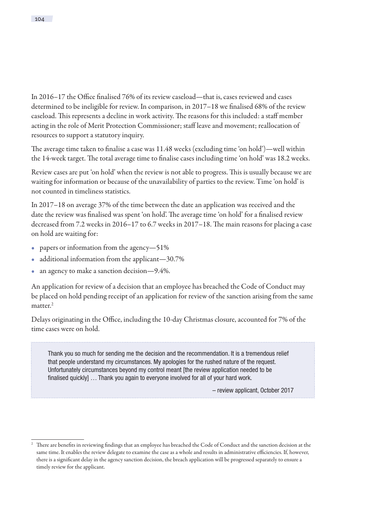In 2016–17 the Office finalised 76% of its review caseload—that is, cases reviewed and cases determined to be ineligible for review. In comparison, in 2017–18 we finalised 68% of the review caseload. This represents a decline in work activity. The reasons for this included: a staff member acting in the role of Merit Protection Commissioner; staff leave and movement; reallocation of resources to support a statutory inquiry.

The average time taken to finalise a case was 11.48 weeks (excluding time 'on hold')—well within the 14-week target. The total average time to finalise cases including time 'on hold' was 18.2 weeks.

Review cases are put 'on hold' when the review is not able to progress. This is usually because we are waiting for information or because of the unavailability of parties to the review. Time 'on hold' is not counted in timeliness statistics.

In 2017–18 on average 37% of the time between the date an application was received and the date the review was finalised was spent 'on hold'. The average time 'on hold' for a finalised review decreased from 7.2 weeks in 2016–17 to 6.7 weeks in 2017–18. The main reasons for placing a case on hold are waiting for:

- papers or information from the agency-51%
- additional information from the applicant—30.7%
- an agency to make a sanction decision-9.4%.

An application for review of a decision that an employee has breached the Code of Conduct may be placed on hold pending receipt of an application for review of the sanction arising from the same matter.<sup>2</sup>

Delays originating in the Office, including the 10-day Christmas closure, accounted for 7% of the time cases were on hold.

Thank you so much for sending me the decision and the recommendation. It is a tremendous relief that people understand my circumstances. My apologies for the rushed nature of the request. Unfortunately circumstances beyond my control meant [the review application needed to be finalised quickly] … Thank you again to everyone involved for all of your hard work.

– review applicant, October 2017

<sup>2</sup> There are benefits in reviewing findings that an employee has breached the Code of Conduct and the sanction decision at the same time. It enables the review delegate to examine the case as a whole and results in administrative efficiencies. If, however, there is a significant delay in the agency sanction decision, the breach application will be progressed separately to ensure a timely review for the applicant.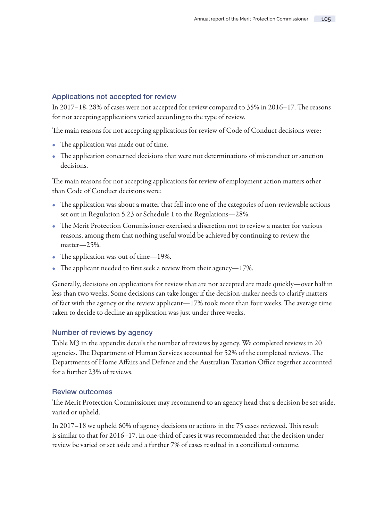### Applications not accepted for review

In 2017–18, 28% of cases were not accepted for review compared to 35% in 2016–17. The reasons for not accepting applications varied according to the type of review.

The main reasons for not accepting applications for review of Code of Conduct decisions were:

- The application was made out of time.
- The application concerned decisions that were not determinations of misconduct or sanction decisions.

The main reasons for not accepting applications for review of employment action matters other than Code of Conduct decisions were:

- The application was about a matter that fell into one of the categories of non-reviewable actions set out in Regulation 5.23 or Schedule 1 to the Regulations—28%.
- The Merit Protection Commissioner exercised a discretion not to review a matter for various reasons, among them that nothing useful would be achieved by continuing to review the matter—25%.
- The application was out of time-19%.
- The applicant needed to first seek a review from their agency—17%.

Generally, decisions on applications for review that are not accepted are made quickly—over half in less than two weeks. Some decisions can take longer if the decision-maker needs to clarify matters of fact with the agency or the review applicant—17% took more than four weeks. The average time taken to decide to decline an application was just under three weeks.

#### Number of reviews by agency

Table M3 in the appendix details the number of reviews by agency. We completed reviews in 20 agencies. The Department of Human Services accounted for 52% of the completed reviews. The Departments of Home Affairs and Defence and the Australian Taxation Office together accounted for a further 23% of reviews.

#### Review outcomes

The Merit Protection Commissioner may recommend to an agency head that a decision be set aside, varied or upheld.

In 2017–18 we upheld 60% of agency decisions or actions in the 75 cases reviewed. This result is similar to that for 2016–17. In one-third of cases it was recommended that the decision under review be varied or set aside and a further 7% of cases resulted in a conciliated outcome.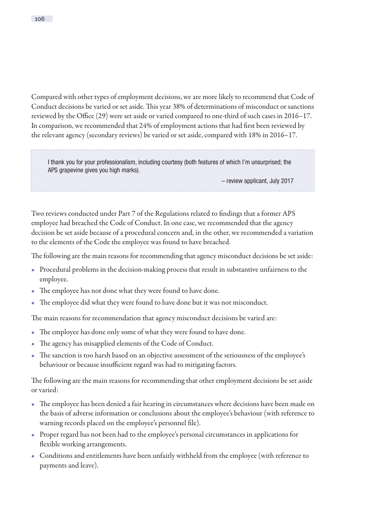Compared with other types of employment decisions, we are more likely to recommend that Code of Conduct decisions be varied or set aside. This year 38% of determinations of misconduct or sanctions reviewed by the Office (29) were set aside or varied compared to one-third of such cases in 2016–17. In comparison, we recommended that 24% of employment actions that had first been reviewed by the relevant agency (secondary reviews) be varied or set aside, compared with 18% in 2016–17.

I thank you for your professionalism, including courtesy (both features of which I'm unsurprised; the APS grapevine gives you high marks).

– review applicant, July 2017

Two reviews conducted under Part 7 of the Regulations related to findings that a former APS employee had breached the Code of Conduct. In one case, we recommended that the agency decision be set aside because of a procedural concern and, in the other, we recommended a variation to the elements of the Code the employee was found to have breached.

The following are the main reasons for recommending that agency misconduct decisions be set aside:

- Procedural problems in the decision-making process that result in substantive unfairness to the employee.
- The employee has not done what they were found to have done.
- The employee did what they were found to have done but it was not misconduct.

The main reasons for recommendation that agency misconduct decisions be varied are:

- The employee has done only some of what they were found to have done.
- The agency has misapplied elements of the Code of Conduct.
- The sanction is too harsh based on an objective assessment of the seriousness of the employee's behaviour or because insufficient regard was had to mitigating factors.

The following are the main reasons for recommending that other employment decisions be set aside or varied:

- The employee has been denied a fair hearing in circumstances where decisions have been made on the basis of adverse information or conclusions about the employee's behaviour (with reference to warning records placed on the employee's personnel file).
- Proper regard has not been had to the employee's personal circumstances in applications for flexible working arrangements.
- Conditions and entitlements have been unfairly withheld from the employee (with reference to payments and leave).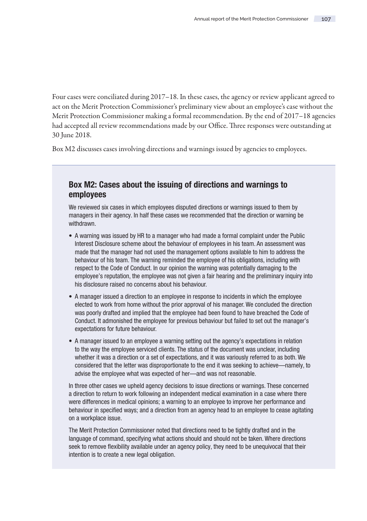Four cases were conciliated during 2017–18. In these cases, the agency or review applicant agreed to act on the Merit Protection Commissioner's preliminary view about an employee's case without the Merit Protection Commissioner making a formal recommendation. By the end of 2017–18 agencies had accepted all review recommendations made by our Office. Three responses were outstanding at 30 June 2018.

Box M2 discusses cases involving directions and warnings issued by agencies to employees.

## Box M2: Cases about the issuing of directions and warnings to employees

We reviewed six cases in which employees disputed directions or warnings issued to them by managers in their agency. In half these cases we recommended that the direction or warning be withdrawn.

- A warning was issued by HR to a manager who had made a formal complaint under the Public Interest Disclosure scheme about the behaviour of employees in his team. An assessment was made that the manager had not used the management options available to him to address the behaviour of his team. The warning reminded the employee of his obligations, including with respect to the Code of Conduct. In our opinion the warning was potentially damaging to the employee's reputation, the employee was not given a fair hearing and the preliminary inquiry into his disclosure raised no concerns about his behaviour.
- A manager issued a direction to an employee in response to incidents in which the employee elected to work from home without the prior approval of his manager. We concluded the direction was poorly drafted and implied that the employee had been found to have breached the Code of Conduct. It admonished the employee for previous behaviour but failed to set out the manager's expectations for future behaviour.
- A manager issued to an employee a warning setting out the agency's expectations in relation to the way the employee serviced clients. The status of the document was unclear, including whether it was a direction or a set of expectations, and it was variously referred to as both. We considered that the letter was disproportionate to the end it was seeking to achieve—namely, to advise the employee what was expected of her—and was not reasonable.

In three other cases we upheld agency decisions to issue directions or warnings. These concerned a direction to return to work following an independent medical examination in a case where there were differences in medical opinions; a warning to an employee to improve her performance and behaviour in specified ways; and a direction from an agency head to an employee to cease agitating on a workplace issue.

The Merit Protection Commissioner noted that directions need to be tightly drafted and in the language of command, specifying what actions should and should not be taken. Where directions seek to remove flexibility available under an agency policy, they need to be unequivocal that their intention is to create a new legal obligation.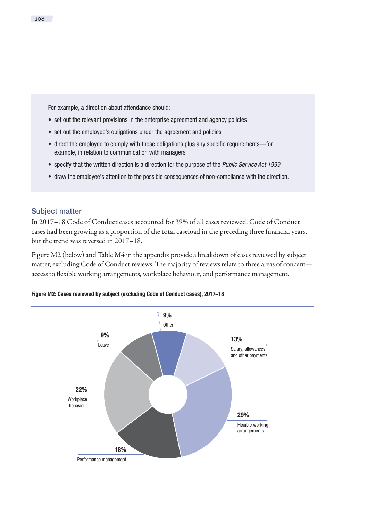For example, a direction about attendance should:

- set out the relevant provisions in the enterprise agreement and agency policies
- set out the employee's obligations under the agreement and policies
- direct the employee to comply with those obligations plus any specific requirements—for example, in relation to communication with managers
- specify that the written direction is a direction for the purpose of the Public Service Act 1999
- draw the employee's attention to the possible consequences of non-compliance with the direction.

### Subject matter

In 2017–18 Code of Conduct cases accounted for 39% of all cases reviewed. Code of Conduct cases had been growing as a proportion of the total caseload in the preceding three financial years, but the trend was reversed in 2017–18.

Figure M2 (below) and Table M4 in the appendix provide a breakdown of cases reviewed by subject matter, excluding Code of Conduct reviews. The majority of reviews relate to three areas of concern access to flexible working arrangements, workplace behaviour, and performance management.



Figure M2: Cases reviewed by subject (excluding Code of Conduct cases), 2017–18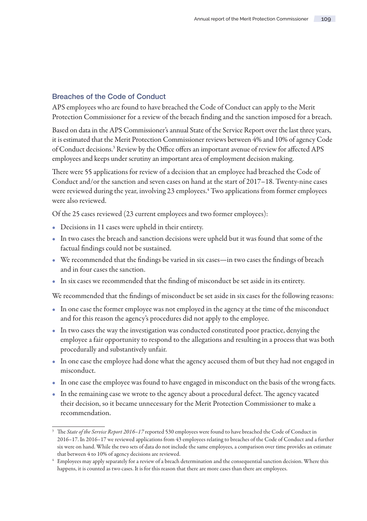### Breaches of the Code of Conduct

APS employees who are found to have breached the Code of Conduct can apply to the Merit Protection Commissioner for a review of the breach finding and the sanction imposed for a breach.

Based on data in the APS Commissioner's annual State of the Service Report over the last three years, it is estimated that the Merit Protection Commissioner reviews between 4% and 10% of agency Code of Conduct decisions.<sup>3</sup> Review by the Office offers an important avenue of review for affected APS employees and keeps under scrutiny an important area of employment decision making.

There were 55 applications for review of a decision that an employee had breached the Code of Conduct and/or the sanction and seven cases on hand at the start of 2017–18. Twenty-nine cases were reviewed during the year, involving 23 employees.<sup>4</sup> Two applications from former employees were also reviewed.

Of the 25 cases reviewed (23 current employees and two former employees):

- Decisions in 11 cases were upheld in their entirety.
- In two cases the breach and sanction decisions were upheld but it was found that some of the factual findings could not be sustained.
- We recommended that the findings be varied in six cases—in two cases the findings of breach and in four cases the sanction.
- In six cases we recommended that the finding of misconduct be set aside in its entirety.

We recommended that the findings of misconduct be set aside in six cases for the following reasons:

- In one case the former employee was not employed in the agency at the time of the misconduct and for this reason the agency's procedures did not apply to the employee.
- In two cases the way the investigation was conducted constituted poor practice, denying the employee a fair opportunity to respond to the allegations and resulting in a process that was both procedurally and substantively unfair.
- In one case the employee had done what the agency accused them of but they had not engaged in misconduct.
- In one case the employee was found to have engaged in misconduct on the basis of the wrong facts.
- In the remaining case we wrote to the agency about a procedural defect. The agency vacated their decision, so it became unnecessary for the Merit Protection Commissioner to make a recommendation.

<sup>3</sup> The *State of the Service Report 2016–17* reported 530 employees were found to have breached the Code of Conduct in 2016–17. In 2016–17 we reviewed applications from 43 employees relating to breaches of the Code of Conduct and a further six were on hand. While the two sets of data do not include the same employees, a comparison over time provides an estimate that between 4 to 10% of agency decisions are reviewed.

<sup>4</sup> Employees may apply separately for a review of a breach determination and the consequential sanction decision. Where this happens, it is counted as two cases. It is for this reason that there are more cases than there are employees.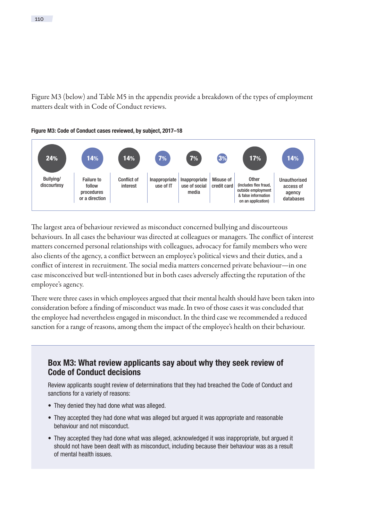Figure M3 (below) and Table M5 in the appendix provide a breakdown of the types of employment matters dealt with in Code of Conduct reviews.



The largest area of behaviour reviewed as misconduct concerned bullying and discourteous behaviours. In all cases the behaviour was directed at colleagues or managers. The conflict of interest matters concerned personal relationships with colleagues, advocacy for family members who were also clients of the agency, a conflict between an employee's political views and their duties, and a conflict of interest in recruitment. The social media matters concerned private behaviour—in one case misconceived but well-intentioned but in both cases adversely affecting the reputation of the employee's agency.

There were three cases in which employees argued that their mental health should have been taken into consideration before a finding of misconduct was made. In two of those cases it was concluded that the employee had nevertheless engaged in misconduct. In the third case we recommended a reduced sanction for a range of reasons, among them the impact of the employee's health on their behaviour.

# Box M3: What review applicants say about why they seek review of Code of Conduct decisions

Review applicants sought review of determinations that they had breached the Code of Conduct and sanctions for a variety of reasons:

- They denied they had done what was alleged.
- They accepted they had done what was alleged but argued it was appropriate and reasonable behaviour and not misconduct.
- They accepted they had done what was alleged, acknowledged it was inappropriate, but argued it should not have been dealt with as misconduct, including because their behaviour was as a result of mental health issues.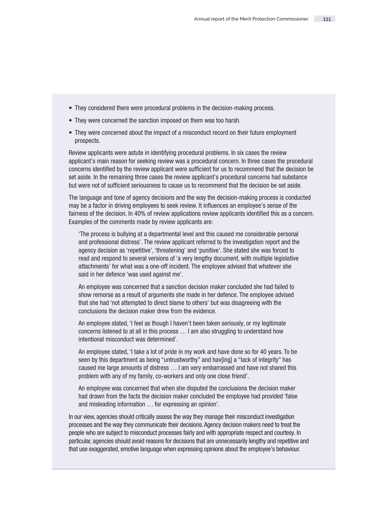- They considered there were procedural problems in the decision-making process.
- They were concerned the sanction imposed on them was too harsh.
- They were concerned about the impact of a misconduct record on their future employment prospects.

Review applicants were astute in identifying procedural problems. In six cases the review applicant's main reason for seeking review was a procedural concern. In three cases the procedural concerns identified by the review applicant were sufficient for us to recommend that the decision be set aside. In the remaining three cases the review applicant's procedural concerns had substance but were not of sufficient seriousness to cause us to recommend that the decision be set aside.

The language and tone of agency decisions and the way the decision-making process is conducted may be a factor in driving employees to seek review. It influences an employee's sense of the fairness of the decision. In 40% of review applications review applicants identified this as a concern. Examples of the comments made by review applicants are:

 'The process is bullying at a departmental level and this caused me considerable personal and professional distress'. The review applicant referred to the investigation report and the agency decision as 'repetitive', 'threatening' and 'punitive'. She stated she was forced to read and respond to several versions of 'a very lengthy document, with multiple legislative attachments' for what was a one-off incident. The employee advised that whatever she said in her defence 'was used against me'.

 An employee was concerned that a sanction decision maker concluded she had failed to show remorse as a result of arguments she made in her defence. The employee advised that she had 'not attempted to direct blame to others' but was disagreeing with the conclusions the decision maker drew from the evidence.

 An employee stated, 'I feel as though I haven't been taken seriously, or my legitimate concerns listened to at all in this process … I am also struggling to understand how intentional misconduct was determined'.

 An employee stated, 'I take a lot of pride in my work and have done so for 40 years. To be seen by this department as being "untrustworthy" and hav[ing] a "lack of integrity" has caused me large amounts of distress … I am very embarrassed and have not shared this problem with any of my family, co-workers and only one close friend'.

 An employee was concerned that when she disputed the conclusions the decision maker had drawn from the facts the decision maker concluded the employee had provided 'false and misleading information … for expressing an opinion'.

In our view, agencies should critically assess the way they manage their misconduct investigation processes and the way they communicate their decisions. Agency decision makers need to treat the people who are subject to misconduct processes fairly and with appropriate respect and courtesy. In particular, agencies should avoid reasons for decisions that are unnecessarily lengthy and repetitive and that use exaggerated, emotive language when expressing opinions about the employee's behaviour.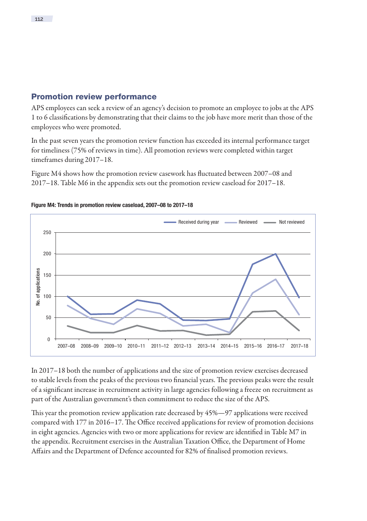## Promotion review performance

APS employees can seek a review of an agency's decision to promote an employee to jobs at the APS 1 to 6 classifications by demonstrating that their claims to the job have more merit than those of the employees who were promoted.

In the past seven years the promotion review function has exceeded its internal performance target for timeliness (75% of reviews in time). All promotion reviews were completed within target timeframes during 2017–18.

Figure M4 shows how the promotion review casework has fluctuated between 2007–08 and 2017–18. Table M6 in the appendix sets out the promotion review caseload for 2017–18.



#### Figure M4: Trends in promotion review caseload, 2007–08 to 2017–18

In 2017–18 both the number of applications and the size of promotion review exercises decreased to stable levels from the peaks of the previous two financial years. The previous peaks were the result of a significant increase in recruitment activity in large agencies following a freeze on recruitment as part of the Australian government's then commitment to reduce the size of the APS.

This year the promotion review application rate decreased by 45%—97 applications were received compared with 177 in 2016–17. The Office received applications for review of promotion decisions in eight agencies. Agencies with two or more applications for review are identified in Table M7 in the appendix. Recruitment exercises in the Australian Taxation Office, the Department of Home Affairs and the Department of Defence accounted for 82% of finalised promotion reviews.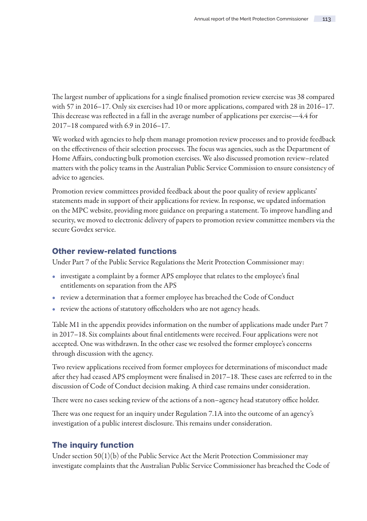The largest number of applications for a single finalised promotion review exercise was 38 compared with 57 in 2016–17. Only six exercises had 10 or more applications, compared with 28 in 2016–17. This decrease was reflected in a fall in the average number of applications per exercise—4.4 for 2017–18 compared with 6.9 in 2016–17.

We worked with agencies to help them manage promotion review processes and to provide feedback on the effectiveness of their selection processes. The focus was agencies, such as the Department of Home Affairs, conducting bulk promotion exercises. We also discussed promotion review–related matters with the policy teams in the Australian Public Service Commission to ensure consistency of advice to agencies.

Promotion review committees provided feedback about the poor quality of review applicants' statements made in support of their applications for review. In response, we updated information on the MPC website, providing more guidance on preparing a statement. To improve handling and security, we moved to electronic delivery of papers to promotion review committee members via the secure Govdex service.

## Other review-related functions

Under Part 7 of the Public Service Regulations the Merit Protection Commissioner may:

- investigate a complaint by a former APS employee that relates to the employee's final entitlements on separation from the APS
- review a determination that a former employee has breached the Code of Conduct
- review the actions of statutory officeholders who are not agency heads.

Table M1 in the appendix provides information on the number of applications made under Part 7 in 2017–18. Six complaints about final entitlements were received. Four applications were not accepted. One was withdrawn. In the other case we resolved the former employee's concerns through discussion with the agency.

Two review applications received from former employees for determinations of misconduct made after they had ceased APS employment were finalised in 2017–18. These cases are referred to in the discussion of Code of Conduct decision making. A third case remains under consideration.

There were no cases seeking review of the actions of a non–agency head statutory office holder.

There was one request for an inquiry under Regulation 7.1A into the outcome of an agency's investigation of a public interest disclosure. This remains under consideration.

### The inquiry function

Under section 50(1)(b) of the Public Service Act the Merit Protection Commissioner may investigate complaints that the Australian Public Service Commissioner has breached the Code of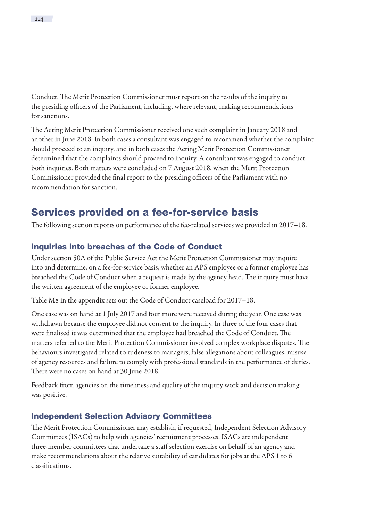<span id="page-19-0"></span>Conduct. The Merit Protection Commissioner must report on the results of the inquiry to the presiding officers of the Parliament, including, where relevant, making recommendations for sanctions.

The Acting Merit Protection Commissioner received one such complaint in January 2018 and another in June 2018. In both cases a consultant was engaged to recommend whether the complaint should proceed to an inquiry, and in both cases the Acting Merit Protection Commissioner determined that the complaints should proceed to inquiry. A consultant was engaged to conduct both inquiries. Both matters were concluded on 7 August 2018, when the Merit Protection Commissioner provided the final report to the presiding officers of the Parliament with no recommendation for sanction.

# Services provided on a fee-for-service basis

The following section reports on performance of the fee-related services we provided in 2017–18.

# Inquiries into breaches of the Code of Conduct

Under section 50A of the Public Service Act the Merit Protection Commissioner may inquire into and determine, on a fee-for-service basis, whether an APS employee or a former employee has breached the Code of Conduct when a request is made by the agency head. The inquiry must have the written agreement of the employee or former employee.

Table M8 in the appendix sets out the Code of Conduct caseload for 2017–18.

One case was on hand at 1 July 2017 and four more were received during the year. One case was withdrawn because the employee did not consent to the inquiry. In three of the four cases that were finalised it was determined that the employee had breached the Code of Conduct. The matters referred to the Merit Protection Commissioner involved complex workplace disputes. The behaviours investigated related to rudeness to managers, false allegations about colleagues, misuse of agency resources and failure to comply with professional standards in the performance of duties. There were no cases on hand at 30 June 2018.

Feedback from agencies on the timeliness and quality of the inquiry work and decision making was positive.

# Independent Selection Advisory Committees

The Merit Protection Commissioner may establish, if requested, Independent Selection Advisory Committees (ISACs) to help with agencies' recruitment processes. ISACs are independent three-member committees that undertake a staff selection exercise on behalf of an agency and make recommendations about the relative suitability of candidates for jobs at the APS 1 to 6 classifications.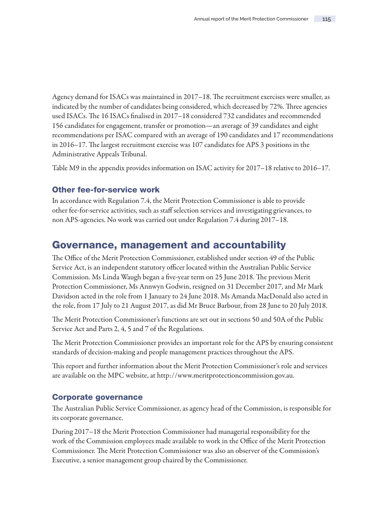<span id="page-20-0"></span>Agency demand for ISACs was maintained in 2017–18. The recruitment exercises were smaller, as indicated by the number of candidates being considered, which decreased by 72%. Three agencies used ISACs. The 16 ISACs finalised in 2017–18 considered 732 candidates and recommended 156 candidates for engagement, transfer or promotion—an average of 39 candidates and eight recommendations per ISAC compared with an average of 190 candidates and 17 recommendations in 2016–17. The largest recruitment exercise was 107 candidates for APS 3 positions in the Administrative Appeals Tribunal.

Table M9 in the appendix provides information on ISAC activity for 2017–18 relative to 2016–17.

## Other fee-for-service work

In accordance with Regulation 7.4, the Merit Protection Commissioner is able to provide other fee-for-service activities, such as staff selection services and investigating grievances, to non APS-agencies. No work was carried out under Regulation 7.4 during 2017–18.

# Governance, management and accountability

The Office of the Merit Protection Commissioner, established under section 49 of the Public Service Act, is an independent statutory officer located within the Australian Public Service Commission. Ms Linda Waugh began a five-year term on 25 June 2018. The previous Merit Protection Commissioner, Ms Annwyn Godwin, resigned on 31 December 2017, and Mr Mark Davidson acted in the role from 1 January to 24 June 2018. Ms Amanda MacDonald also acted in the role, from 17 July to 21 August 2017, as did Mr Bruce Barbour, from 28 June to 20 July 2018.

The Merit Protection Commissioner's functions are set out in sections 50 and 50A of the Public Service Act and Parts 2, 4, 5 and 7 of the Regulations.

The Merit Protection Commissioner provides an important role for the APS by ensuring consistent standards of decision-making and people management practices throughout the APS.

This report and further information about the Merit Protection Commissioner's role and services are available on the MPC website, at [http://www.meritprotectioncommission.gov.au.](http://www.meritprotectioncommission.gov.au)

### Corporate governance

The Australian Public Service Commissioner, as agency head of the Commission, is responsible for its corporate governance.

During 2017–18 the Merit Protection Commissioner had managerial responsibility for the work of the Commission employees made available to work in the Office of the Merit Protection Commissioner. The Merit Protection Commissioner was also an observer of the Commission's Executive, a senior management group chaired by the Commissioner.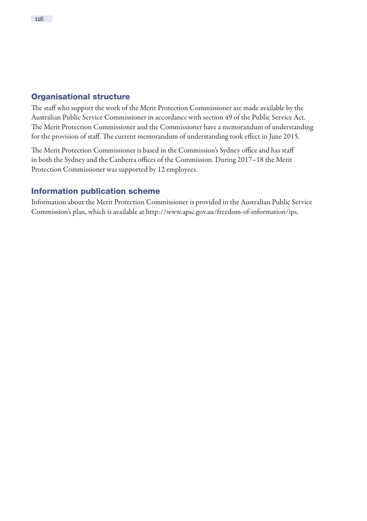### Organisational structure

The staff who support the work of the Merit Protection Commissioner are made available by the Australian Public Service Commissioner in accordance with section 49 of the Public Service Act. The Merit Protection Commissioner and the Commissioner have a memorandum of understanding for the provision of staff. The current memorandum of understanding took effect in June 2015.

The Merit Protection Commissioner is based in the Commission's Sydney office and has staff in both the Sydney and the Canberra offices of the Commission. During 2017–18 the Merit Protection Commissioner was supported by 12 employees.

## Information publication scheme

Information about the Merit Protection Commissioner is provided in the Australian Public Service Commission's plan, which is available at [http://www.apsc.gov.au/freedom-of-information/ips.](http://www.apsc.gov.au/freedom-of-information/ips)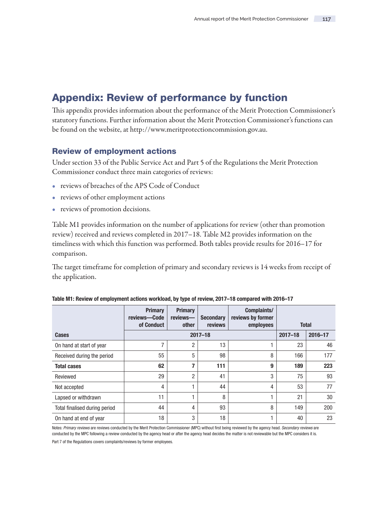# <span id="page-22-0"></span>Appendix: Review of performance by function

This appendix provides information about the performance of the Merit Protection Commissioner's statutory functions. Further information about the Merit Protection Commissioner's functions can be found on the website, at [http://www.meritprotectioncommission.gov.au.](http://www.meritprotectioncommission.gov.au)

### Review of employment actions

Under section 33 of the Public Service Act and Part 5 of the Regulations the Merit Protection Commissioner conduct three main categories of reviews:

- reviews of breaches of the APS Code of Conduct
- reviews of other employment actions
- reviews of promotion decisions.

Table M1 provides information on the number of applications for review (other than promotion review) received and reviews completed in 2017–18. Table M2 provides information on the timeliness with which this function was performed. Both tables provide results for 2016–17 for comparison.

The target timeframe for completion of primary and secondary reviews is 14 weeks from receipt of the application.

|                               | <b>Primary</b><br>reviews-Code | <b>Primary</b><br>reviews- | <b>Secondary</b> | Complaints/<br>reviews by former |             |              |
|-------------------------------|--------------------------------|----------------------------|------------------|----------------------------------|-------------|--------------|
|                               | of Conduct                     | other                      | reviews          | employees                        |             | <b>Total</b> |
| Cases                         |                                |                            | $2017 - 18$      |                                  | $2017 - 18$ | 2016-17      |
| On hand at start of year      |                                | $\overline{2}$             | 13               |                                  | 23          | 46           |
| Received during the period    | 55                             | 5                          | 98               | 8                                | 166         | 177          |
| <b>Total cases</b>            | 62                             | 7                          | 111              | 9                                | 189         | 223          |
| Reviewed                      | 29                             | $\mathfrak{p}$             | 41               | 3                                | 75          | 93           |
| Not accepted                  | 4                              |                            | 44               | 4                                | 53          | 77           |
| Lapsed or withdrawn           | 11                             |                            | 8                | 1                                | 21          | 30           |
| Total finalised during period | 44                             | 4                          | 93               | 8                                | 149         | 200          |
| On hand at end of year        | 18                             | 3                          | 18               | 1                                | 40          | 23           |

|  |  |  |  | Table M1: Review of employment actions workload, by type of review, 2017–18 compared with 2016–17 |
|--|--|--|--|---------------------------------------------------------------------------------------------------|
|--|--|--|--|---------------------------------------------------------------------------------------------------|

Notes: Primary reviews are reviews conducted by the Merit Protection Commissioner (MPC) without first being reviewed by the agency head. Secondary reviews are conducted by the MPC following a review conducted by the agency head or after the agency head decides the matter is not reviewable but the MPC considers it is. Part 7 of the Regulations covers complaints/reviews by former employees.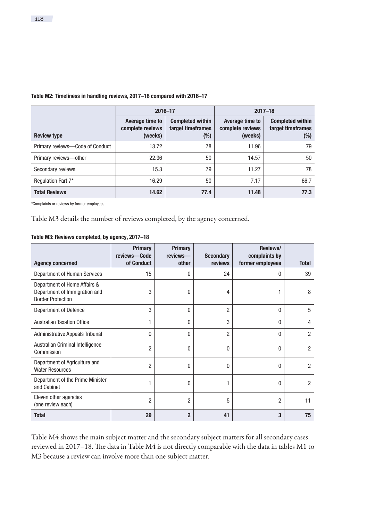|                                 | 2016-17                                        |                                                        | $2017 - 18$                                    |                                                        |  |
|---------------------------------|------------------------------------------------|--------------------------------------------------------|------------------------------------------------|--------------------------------------------------------|--|
| <b>Review type</b>              | Average time to<br>complete reviews<br>(weeks) | <b>Completed within</b><br>target timeframes<br>$(\%)$ | Average time to<br>complete reviews<br>(weeks) | <b>Completed within</b><br>target timeframes<br>$(\%)$ |  |
| Primary reviews-Code of Conduct | 13.72                                          | 78                                                     | 11.96                                          | 79                                                     |  |
| Primary reviews-other           | 22.36                                          | 50                                                     | 14.57                                          | 50                                                     |  |
| Secondary reviews               | 15.3                                           | 79                                                     | 11.27                                          | 78                                                     |  |
| Regulation Part 7*              | 16.29                                          | 50                                                     | 7.17                                           | 66.7                                                   |  |
| <b>Total Reviews</b>            | 14.62                                          | 77.4                                                   | 11.48                                          | 77.3                                                   |  |

#### Table M2: Timeliness in handling reviews, 2017–18 compared with 2016–17

\*Complaints or reviews by former employees

Table M3 details the number of reviews completed, by the agency concerned.

| <b>Agency concerned</b>                                                                   | <b>Primary</b><br>reviews-Code<br>of Conduct | Primary<br>reviews-<br>other | <b>Secondary</b><br>reviews | Reviews/<br>complaints by<br>former employees | <b>Total</b>   |
|-------------------------------------------------------------------------------------------|----------------------------------------------|------------------------------|-----------------------------|-----------------------------------------------|----------------|
| Department of Human Services                                                              | 15                                           | $\mathbf{0}$                 | 24                          | 0                                             | 39             |
| Department of Home Affairs &<br>Department of Immigration and<br><b>Border Protection</b> | 3                                            | 0                            | 4                           | 1                                             | 8              |
| Department of Defence                                                                     | 3                                            | $\mathbf{0}$                 | $\overline{2}$              | 0                                             | 5              |
| <b>Australian Taxation Office</b>                                                         | 1                                            | 0                            | 3                           | 0                                             | 4              |
| <b>Administrative Appeals Tribunal</b>                                                    | 0                                            | $\mathbf{0}$                 | $\overline{2}$              | 0                                             | $\overline{2}$ |
| Australian Criminal Intelligence<br>Commission                                            | 2                                            | 0                            | 0                           | 0                                             | $\overline{2}$ |
| Department of Agriculture and<br><b>Water Resources</b>                                   | $\overline{2}$                               | 0                            | 0                           | 0                                             | 2              |
| Department of the Prime Minister<br>and Cabinet                                           | 1                                            | 0                            |                             | 0                                             | $\overline{2}$ |
| Eleven other agencies<br>(one review each)                                                | $\overline{2}$                               | $\overline{2}$               | 5                           | $\overline{2}$                                | 11             |
| <b>Total</b>                                                                              | 29                                           | $\overline{2}$               | 41                          | 3                                             | 75             |

#### Table M3: Reviews completed, by agency, 2017–18

Table M4 shows the main subject matter and the secondary subject matters for all secondary cases reviewed in 2017–18. The data in Table M4 is not directly comparable with the data in tables M1 to M3 because a review can involve more than one subject matter.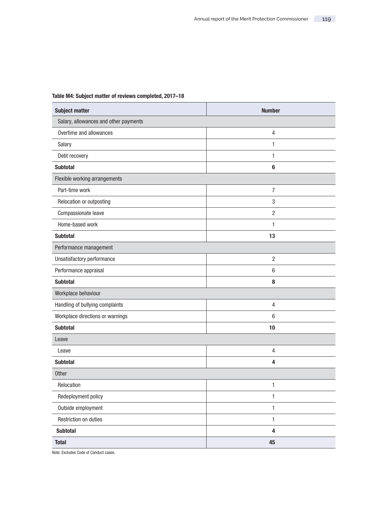### Table M4: Subject matter of reviews completed, 2017–18

| <b>Subject matter</b>                 | <b>Number</b>  |
|---------------------------------------|----------------|
| Salary, allowances and other payments |                |
| Overtime and allowances               | 4              |
| Salary                                | 1              |
| Debt recovery                         | 1              |
| <b>Subtotal</b>                       | 6              |
| Flexible working arrangements         |                |
| Part-time work                        | $\overline{7}$ |
| Relocation or outposting              | 3              |
| Compassionate leave                   | $\overline{2}$ |
| Home-based work                       | 1              |
| <b>Subtotal</b>                       | 13             |
| Performance management                |                |
| Unsatisfactory performance            | $\overline{2}$ |
| Performance appraisal                 | 6              |
| <b>Subtotal</b>                       | 8              |
| Workplace behaviour                   |                |
| Handling of bullying complaints       | $\overline{4}$ |
| Workplace directions or warnings      | $6\phantom{1}$ |
| <b>Subtotal</b>                       | 10             |
| Leave                                 |                |
| Leave                                 | 4              |
| <b>Subtotal</b>                       | 4              |
| Other                                 |                |
| Relocation                            | $\mathbf{1}$   |
| Redeployment policy                   | 1              |
| Outside employment                    | 1              |
| <b>Restriction on duties</b>          | $\mathbf{1}$   |
| <b>Subtotal</b>                       | 4              |
| <b>Total</b>                          | 45             |

Note: Excludes Code of Conduct cases.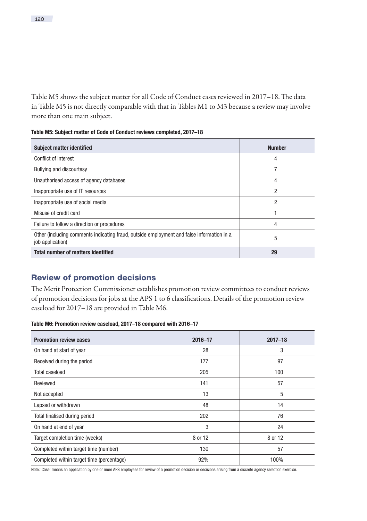Table M5 shows the subject matter for all Code of Conduct cases reviewed in 2017–18. The data in Table M5 is not directly comparable with that in Tables M1 to M3 because a review may involve more than one main subject.

Table M5: Subject matter of Code of Conduct reviews completed, 2017–18

| <b>Subject matter identified</b>                                                                              | <b>Number</b>  |
|---------------------------------------------------------------------------------------------------------------|----------------|
| Conflict of interest                                                                                          | 4              |
| <b>Bullying and discourtesy</b>                                                                               | 7              |
| Unauthorised access of agency databases                                                                       | 4              |
| Inappropriate use of IT resources                                                                             | 2              |
| Inappropriate use of social media                                                                             | $\overline{2}$ |
| Misuse of credit card                                                                                         |                |
| Failure to follow a direction or procedures                                                                   | 4              |
| Other (including comments indicating fraud, outside employment and false information in a<br>job application) | 5              |
| <b>Total number of matters identified</b>                                                                     | 29             |

### Review of promotion decisions

The Merit Protection Commissioner establishes promotion review committees to conduct reviews of promotion decisions for jobs at the APS 1 to 6 classifications. Details of the promotion review caseload for 2017–18 are provided in Table M6.

#### Table M6: Promotion review caseload, 2017–18 compared with 2016–17

| <b>Promotion review cases</b>             | $2016 - 17$ | $2017 - 18$ |
|-------------------------------------------|-------------|-------------|
| On hand at start of year                  | 28          | 3           |
| Received during the period                | 177         | 97          |
| <b>Total caseload</b>                     | 205         | 100         |
| Reviewed                                  | 141         | 57          |
| Not accepted                              | 13          | 5           |
| Lapsed or withdrawn                       | 48          | 14          |
| Total finalised during period             | 202         | 76          |
| On hand at end of year                    | 3           | 24          |
| Target completion time (weeks)            | 8 or 12     | 8 or 12     |
| Completed within target time (number)     | 130         | 57          |
| Completed within target time (percentage) | 92%         | 100%        |

Note: 'Case' means an application by one or more APS employees for review of a promotion decision or decisions arising from a discrete agency selection exercise.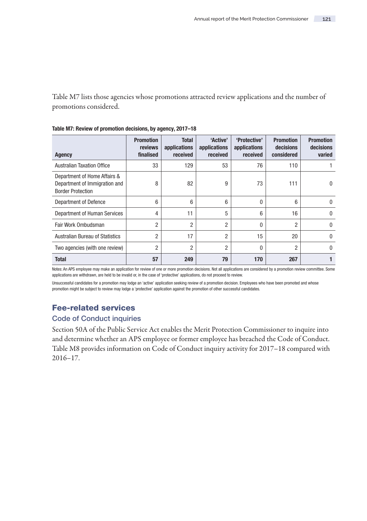Table M7 lists those agencies whose promotions attracted review applications and the number of promotions considered.

| Agency                                                                                    | <b>Promotion</b><br>reviews<br>finalised | <b>Total</b><br>applications<br>received | 'Active'<br>applications<br>received | 'Protective'<br>applications<br>received | <b>Promotion</b><br>decisions<br>considered | <b>Promotion</b><br>decisions<br>varied |
|-------------------------------------------------------------------------------------------|------------------------------------------|------------------------------------------|--------------------------------------|------------------------------------------|---------------------------------------------|-----------------------------------------|
| <b>Australian Taxation Office</b>                                                         | 33                                       | 129                                      | 53                                   | 76                                       | 110                                         |                                         |
| Department of Home Affairs &<br>Department of Immigration and<br><b>Border Protection</b> | 8                                        | 82                                       | 9                                    | 73                                       | 111                                         | 0                                       |
| Department of Defence                                                                     | 6                                        | 6                                        | 6                                    | 0                                        | 6                                           | $\theta$                                |
| Department of Human Services                                                              | 4                                        | 11                                       | 5                                    | 6                                        | 16                                          | $\Omega$                                |
| Fair Work Ombudsman                                                                       | $\overline{2}$                           | $\overline{2}$                           | $\overline{2}$                       | 0                                        | 2                                           | $\Omega$                                |
| <b>Australian Bureau of Statistics</b>                                                    | $\overline{2}$                           | 17                                       | $\overline{2}$                       | 15                                       | 20                                          | $\Omega$                                |
| Two agencies (with one review)                                                            | 2                                        | $\overline{2}$                           | $\overline{2}$                       | 0                                        | 2                                           | $\Omega$                                |
| <b>Total</b>                                                                              | 57                                       | 249                                      | 79                                   | 170                                      | 267                                         |                                         |

Table M7: Review of promotion decisions, by agency, 2017–18

Notes: An APS employee may make an application for review of one or more promotion decisions. Not all applications are considered by a promotion review committee. Some applications are withdrawn, are held to be invalid or, in the case of 'protective' applications, do not proceed to review.

Unsuccessful candidates for a promotion may lodge an 'active' application seeking review of a promotion decision. Employees who have been promoted and whose promotion might be subject to review may lodge a 'protective' application against the promotion of other successful candidates.

## Fee-related services

### Code of Conduct inquiries

Section 50A of the Public Service Act enables the Merit Protection Commissioner to inquire into and determine whether an APS employee or former employee has breached the Code of Conduct. Table M8 provides information on Code of Conduct inquiry activity for 2017–18 compared with 2016–17.